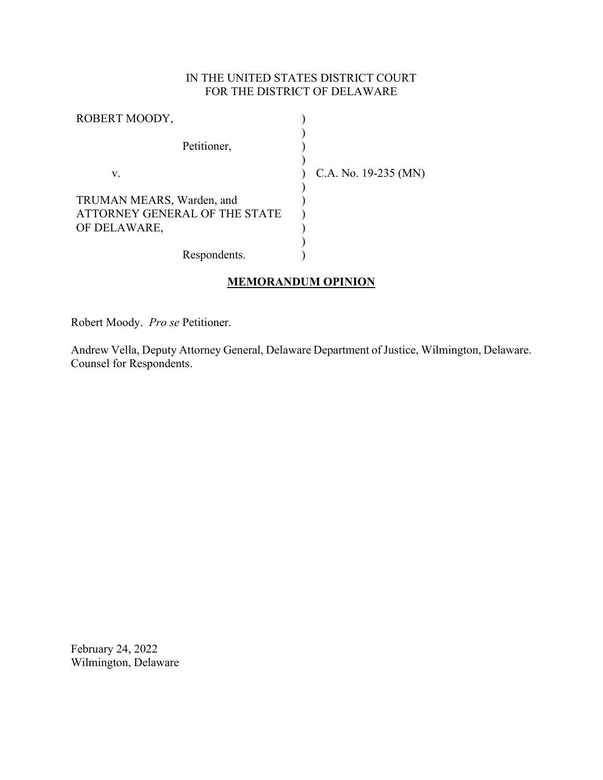# IN THE UNITED STATES DISTRICT COURT FOR THE DISTRICT OF DELAWARE

| ROBERT MOODY,                                                              |                        |
|----------------------------------------------------------------------------|------------------------|
| Petitioner,                                                                |                        |
| v.                                                                         | C.A. No. $19-235$ (MN) |
| TRUMAN MEARS, Warden, and<br>ATTORNEY GENERAL OF THE STATE<br>OF DELAWARE, |                        |
| Respondents.                                                               |                        |

# **MEMORANDUM OPINION**

Robert Moody. *Pro se* Petitioner.

Andrew Vella, Deputy Attorney General, Delaware Department of Justice, Wilmington, Delaware. Counsel for Respondents.

February 24, 2022 Wilmington, Delaware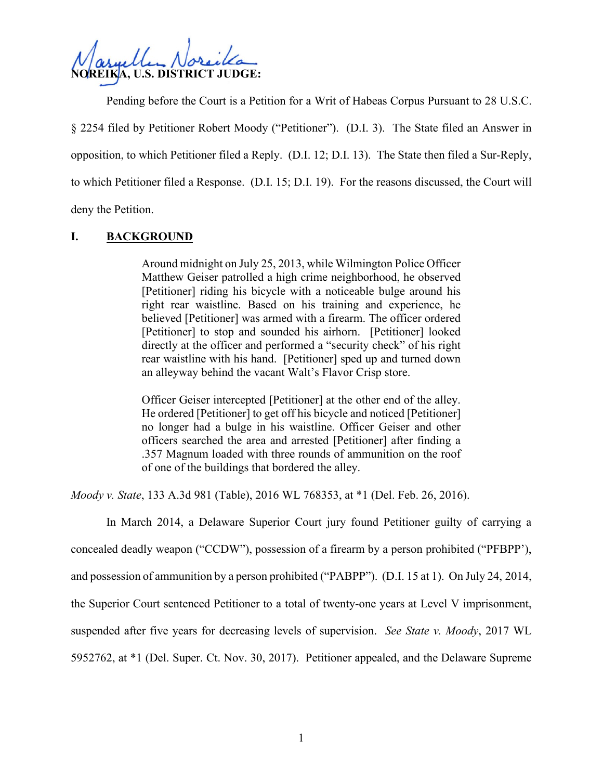**NOREIKA, U.S. DISTRICT JUDGE:**

Pending before the Court is a Petition for a Writ of Habeas Corpus Pursuant to 28 U.S.C. § 2254 filed by Petitioner Robert Moody ("Petitioner"). (D.I. 3). The State filed an Answer in opposition, to which Petitioner filed a Reply. (D.I. 12; D.I. 13). The State then filed a Sur-Reply, to which Petitioner filed a Response. (D.I. 15; D.I. 19). For the reasons discussed, the Court will deny the Petition.

## **I. BACKGROUND**

Around midnight on July 25, 2013, while Wilmington Police Officer Matthew Geiser patrolled a high crime neighborhood, he observed [Petitioner] riding his bicycle with a noticeable bulge around his right rear waistline. Based on his training and experience, he believed [Petitioner] was armed with a firearm. The officer ordered [Petitioner] to stop and sounded his airhorn. [Petitioner] looked directly at the officer and performed a "security check" of his right rear waistline with his hand. [Petitioner] sped up and turned down an alleyway behind the vacant Walt's Flavor Crisp store.

Officer Geiser intercepted [Petitioner] at the other end of the alley. He ordered [Petitioner] to get off his bicycle and noticed [Petitioner] no longer had a bulge in his waistline. Officer Geiser and other officers searched the area and arrested [Petitioner] after finding a .357 Magnum loaded with three rounds of ammunition on the roof of one of the buildings that bordered the alley.

*Moody v. State*, 133 A.3d 981 (Table), 2016 WL 768353, at \*1 (Del. Feb. 26, 2016).

In March 2014, a Delaware Superior Court jury found Petitioner guilty of carrying a concealed deadly weapon ("CCDW"), possession of a firearm by a person prohibited ("PFBPP'), and possession of ammunition by a person prohibited ("PABPP"). (D.I. 15 at 1). On July 24, 2014, the Superior Court sentenced Petitioner to a total of twenty-one years at Level V imprisonment, suspended after five years for decreasing levels of supervision. *See State v. Moody*, 2017 WL 5952762, at \*1 (Del. Super. Ct. Nov. 30, 2017). Petitioner appealed, and the Delaware Supreme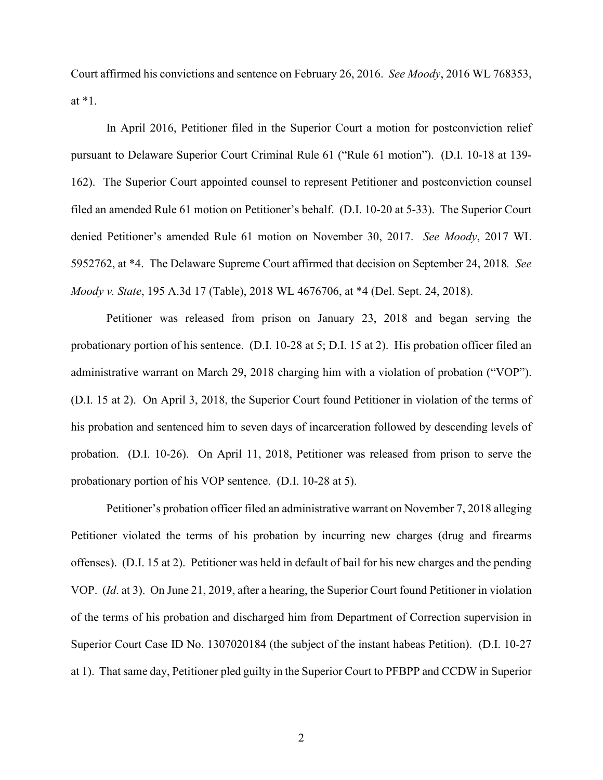Court affirmed his convictions and sentence on February 26, 2016. *See Moody*, 2016 WL 768353, at \*1.

In April 2016, Petitioner filed in the Superior Court a motion for postconviction relief pursuant to Delaware Superior Court Criminal Rule 61 ("Rule 61 motion"). (D.I. 10-18 at 139- 162). The Superior Court appointed counsel to represent Petitioner and postconviction counsel filed an amended Rule 61 motion on Petitioner's behalf. (D.I. 10-20 at 5-33). The Superior Court denied Petitioner's amended Rule 61 motion on November 30, 2017. *See Moody*, 2017 WL 5952762, at \*4. The Delaware Supreme Court affirmed that decision on September 24, 2018*. See Moody v. State*, 195 A.3d 17 (Table), 2018 WL 4676706, at \*4 (Del. Sept. 24, 2018).

Petitioner was released from prison on January 23, 2018 and began serving the probationary portion of his sentence. (D.I. 10-28 at 5; D.I. 15 at 2). His probation officer filed an administrative warrant on March 29, 2018 charging him with a violation of probation ("VOP"). (D.I. 15 at 2). On April 3, 2018, the Superior Court found Petitioner in violation of the terms of his probation and sentenced him to seven days of incarceration followed by descending levels of probation. (D.I. 10-26). On April 11, 2018, Petitioner was released from prison to serve the probationary portion of his VOP sentence. (D.I. 10-28 at 5).

Petitioner's probation officer filed an administrative warrant on November 7, 2018 alleging Petitioner violated the terms of his probation by incurring new charges (drug and firearms offenses). (D.I. 15 at 2). Petitioner was held in default of bail for his new charges and the pending VOP. (*Id*. at 3). On June 21, 2019, after a hearing, the Superior Court found Petitioner in violation of the terms of his probation and discharged him from Department of Correction supervision in Superior Court Case ID No. 1307020184 (the subject of the instant habeas Petition). (D.I. 10-27 at 1). That same day, Petitioner pled guilty in the Superior Court to PFBPP and CCDW in Superior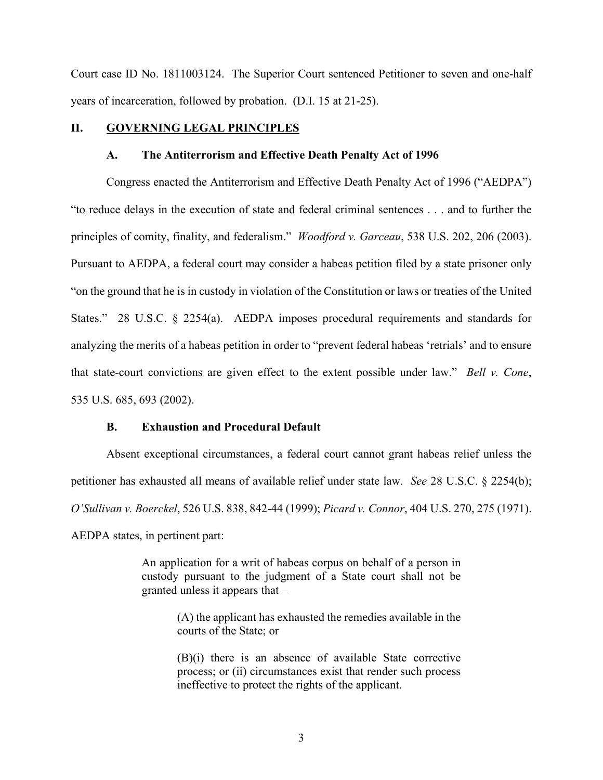Court case ID No. 1811003124. The Superior Court sentenced Petitioner to seven and one-half years of incarceration, followed by probation. (D.I. 15 at 21-25).

#### **II. GOVERNING LEGAL PRINCIPLES**

#### **A. The Antiterrorism and Effective Death Penalty Act of 1996**

Congress enacted the Antiterrorism and Effective Death Penalty Act of 1996 ("AEDPA") "to reduce delays in the execution of state and federal criminal sentences . . . and to further the principles of comity, finality, and federalism." *Woodford v. Garceau*, 538 U.S. 202, 206 (2003). Pursuant to AEDPA, a federal court may consider a habeas petition filed by a state prisoner only "on the ground that he is in custody in violation of the Constitution or laws or treaties of the United States." 28 U.S.C. § 2254(a). AEDPA imposes procedural requirements and standards for analyzing the merits of a habeas petition in order to "prevent federal habeas 'retrials' and to ensure that state-court convictions are given effect to the extent possible under law." *Bell v. Cone*, 535 U.S. 685, 693 (2002).

#### **B. Exhaustion and Procedural Default**

Absent exceptional circumstances, a federal court cannot grant habeas relief unless the petitioner has exhausted all means of available relief under state law. *See* 28 U.S.C. § 2254(b); *O'Sullivan v. Boerckel*, 526 U.S. 838, 842-44 (1999); *Picard v. Connor*, 404 U.S. 270, 275 (1971). AEDPA states, in pertinent part:

> An application for a writ of habeas corpus on behalf of a person in custody pursuant to the judgment of a State court shall not be granted unless it appears that –

> > (A) the applicant has exhausted the remedies available in the courts of the State; or

> > (B)(i) there is an absence of available State corrective process; or (ii) circumstances exist that render such process ineffective to protect the rights of the applicant.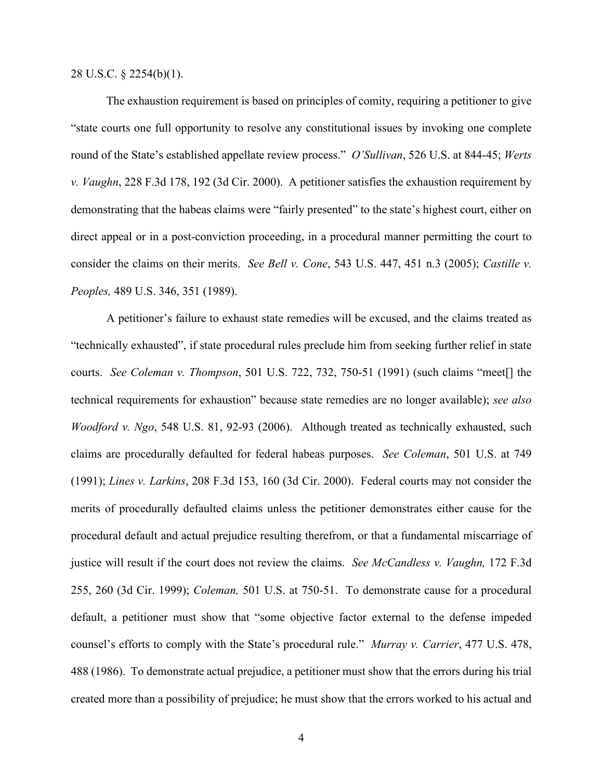28 U.S.C. § 2254(b)(1).

The exhaustion requirement is based on principles of comity, requiring a petitioner to give "state courts one full opportunity to resolve any constitutional issues by invoking one complete round of the State's established appellate review process." *O'Sullivan*, 526 U.S. at 844-45; *Werts v. Vaughn*, 228 F.3d 178, 192 (3d Cir. 2000). A petitioner satisfies the exhaustion requirement by demonstrating that the habeas claims were "fairly presented" to the state's highest court, either on direct appeal or in a post-conviction proceeding, in a procedural manner permitting the court to consider the claims on their merits. *See Bell v. Cone*, 543 U.S. 447, 451 n.3 (2005); *Castille v. Peoples,* 489 U.S. 346, 351 (1989).

A petitioner's failure to exhaust state remedies will be excused, and the claims treated as "technically exhausted", if state procedural rules preclude him from seeking further relief in state courts. *See Coleman v. Thompson*, 501 U.S. 722, 732, 750-51 (1991) (such claims "meet[] the technical requirements for exhaustion" because state remedies are no longer available); *see also Woodford v. Ngo*, 548 U.S. 81, 92-93 (2006). Although treated as technically exhausted, such claims are procedurally defaulted for federal habeas purposes. *See Coleman*, 501 U.S. at 749 (1991); *Lines v. Larkins*, 208 F.3d 153, 160 (3d Cir. 2000). Federal courts may not consider the merits of procedurally defaulted claims unless the petitioner demonstrates either cause for the procedural default and actual prejudice resulting therefrom, or that a fundamental miscarriage of justice will result if the court does not review the claims. *See McCandless v. Vaughn,* 172 F.3d 255, 260 (3d Cir. 1999); *Coleman,* 501 U.S. at 750-51. To demonstrate cause for a procedural default, a petitioner must show that "some objective factor external to the defense impeded counsel's efforts to comply with the State's procedural rule." *Murray v. Carrier*, 477 U.S. 478, 488 (1986). To demonstrate actual prejudice, a petitioner must show that the errors during his trial created more than a possibility of prejudice; he must show that the errors worked to his actual and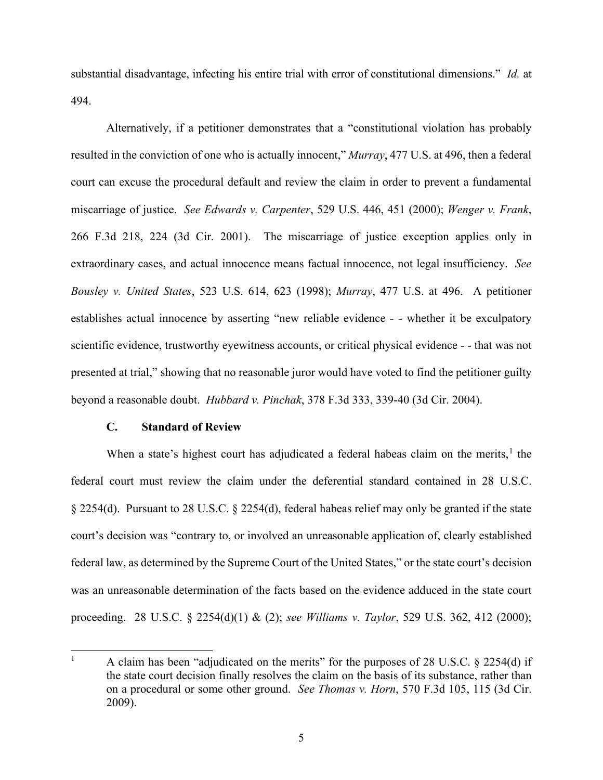substantial disadvantage, infecting his entire trial with error of constitutional dimensions." *Id.* at 494.

Alternatively, if a petitioner demonstrates that a "constitutional violation has probably resulted in the conviction of one who is actually innocent," *Murray*, 477 U.S. at 496, then a federal court can excuse the procedural default and review the claim in order to prevent a fundamental miscarriage of justice. *See Edwards v. Carpenter*, 529 U.S. 446, 451 (2000); *Wenger v. Frank*, 266 F.3d 218, 224 (3d Cir. 2001). The miscarriage of justice exception applies only in extraordinary cases, and actual innocence means factual innocence, not legal insufficiency. *See Bousley v. United States*, 523 U.S. 614, 623 (1998); *Murray*, 477 U.S. at 496. A petitioner establishes actual innocence by asserting "new reliable evidence - - whether it be exculpatory scientific evidence, trustworthy eyewitness accounts, or critical physical evidence - - that was not presented at trial," showing that no reasonable juror would have voted to find the petitioner guilty beyond a reasonable doubt. *Hubbard v. Pinchak*, 378 F.3d 333, 339-40 (3d Cir. 2004).

## **C. Standard of Review**

When a state's highest court has adjudicated a federal habeas claim on the merits,<sup>[1](#page-5-0)</sup> the federal court must review the claim under the deferential standard contained in 28 U.S.C. § 2254(d). Pursuant to 28 U.S.C. § 2254(d), federal habeas relief may only be granted if the state court's decision was "contrary to, or involved an unreasonable application of, clearly established federal law, as determined by the Supreme Court of the United States," or the state court's decision was an unreasonable determination of the facts based on the evidence adduced in the state court proceeding. 28 U.S.C. § 2254(d)(1) & (2); *see Williams v. Taylor*, 529 U.S. 362, 412 (2000);

<span id="page-5-0"></span><sup>1</sup> A claim has been "adjudicated on the merits" for the purposes of 28 U.S.C. § 2254(d) if the state court decision finally resolves the claim on the basis of its substance, rather than on a procedural or some other ground. *See Thomas v. Horn*, 570 F.3d 105, 115 (3d Cir. 2009).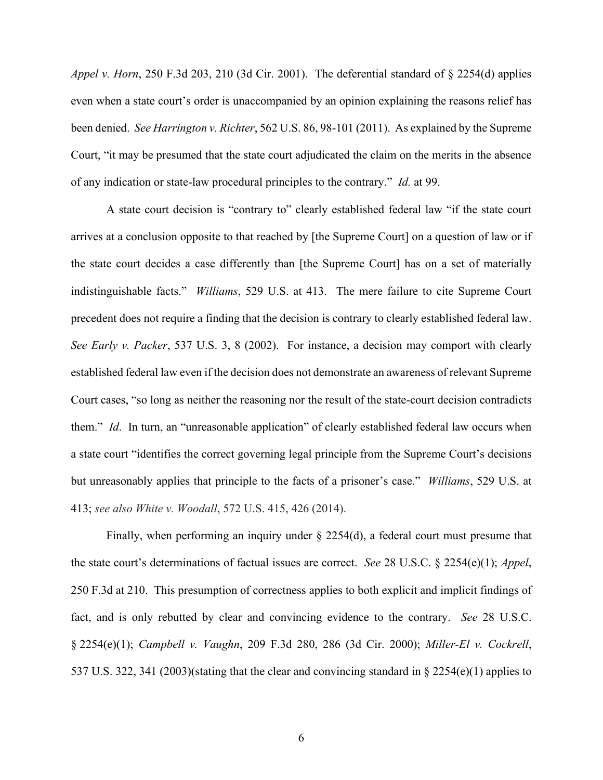*Appel v. Horn*, 250 F.3d 203, 210 (3d Cir. 2001). The deferential standard of § 2254(d) applies even when a state court's order is unaccompanied by an opinion explaining the reasons relief has been denied. *See Harrington v. Richter*, 562 U.S. 86, 98-101 (2011). As explained by the Supreme Court, "it may be presumed that the state court adjudicated the claim on the merits in the absence of any indication or state-law procedural principles to the contrary." *Id.* at 99.

A state court decision is "contrary to" clearly established federal law "if the state court arrives at a conclusion opposite to that reached by [the Supreme Court] on a question of law or if the state court decides a case differently than [the Supreme Court] has on a set of materially indistinguishable facts." *Williams*, 529 U.S. at 413. The mere failure to cite Supreme Court precedent does not require a finding that the decision is contrary to clearly established federal law. *See Early v. Packer*, 537 U.S. 3, 8 (2002). For instance, a decision may comport with clearly established federal law even if the decision does not demonstrate an awareness of relevant Supreme Court cases, "so long as neither the reasoning nor the result of the state-court decision contradicts them." *Id*. In turn, an "unreasonable application" of clearly established federal law occurs when a state court "identifies the correct governing legal principle from the Supreme Court's decisions but unreasonably applies that principle to the facts of a prisoner's case." *Williams*, 529 U.S. at 413; *see also White v. Woodall*, 572 U.S. 415, 426 (2014).

Finally, when performing an inquiry under § 2254(d), a federal court must presume that the state court's determinations of factual issues are correct. *See* 28 U.S.C. § 2254(e)(1); *Appel*, 250 F.3d at 210. This presumption of correctness applies to both explicit and implicit findings of fact, and is only rebutted by clear and convincing evidence to the contrary. *See* 28 U.S.C. § 2254(e)(1); *Campbell v. Vaughn*, 209 F.3d 280, 286 (3d Cir. 2000); *Miller-El v. Cockrell*, 537 U.S. 322, 341 (2003)(stating that the clear and convincing standard in § 2254(e)(1) applies to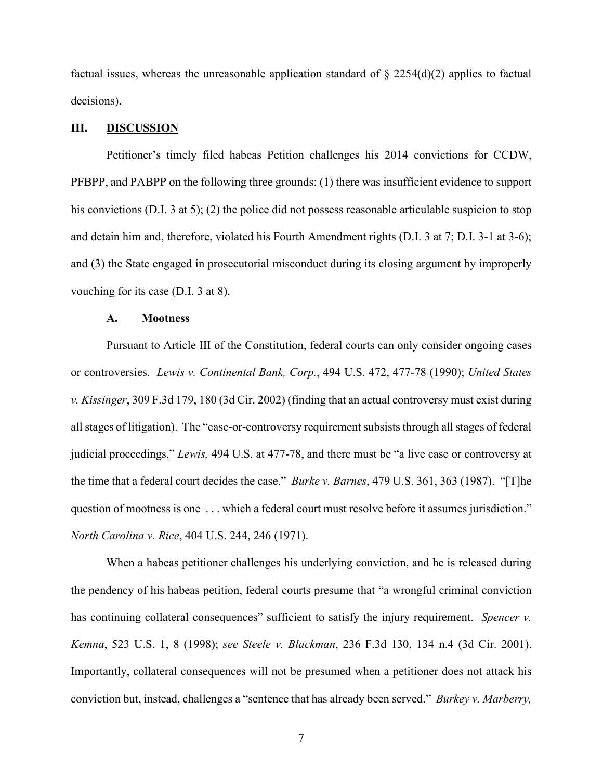factual issues, whereas the unreasonable application standard of  $\S 2254(d)(2)$  applies to factual decisions).

#### **III. DISCUSSION**

Petitioner's timely filed habeas Petition challenges his 2014 convictions for CCDW, PFBPP, and PABPP on the following three grounds: (1) there was insufficient evidence to support his convictions (D.I. 3 at 5); (2) the police did not possess reasonable articulable suspicion to stop and detain him and, therefore, violated his Fourth Amendment rights (D.I. 3 at 7; D.I. 3-1 at 3-6); and (3) the State engaged in prosecutorial misconduct during its closing argument by improperly vouching for its case (D.I. 3 at 8).

#### **A. Mootness**

Pursuant to Article III of the Constitution, federal courts can only consider ongoing cases or controversies. *Lewis v. Continental Bank, Corp.*, 494 U.S. 472, 477-78 (1990); *United States v. Kissinger*, 309 F.3d 179, 180 (3d Cir. 2002) (finding that an actual controversy must exist during all stages of litigation). The "case-or-controversy requirement subsists through all stages of federal judicial proceedings," *Lewis,* 494 U.S. at 477-78, and there must be "a live case or controversy at the time that a federal court decides the case." *Burke v. Barnes*, 479 U.S. 361, 363 (1987). "[T]he question of mootness is one ... which a federal court must resolve before it assumes jurisdiction." *North Carolina v. Rice*, 404 U.S. 244, 246 (1971).

When a habeas petitioner challenges his underlying conviction, and he is released during the pendency of his habeas petition, federal courts presume that "a wrongful criminal conviction has continuing collateral consequences" sufficient to satisfy the injury requirement. *Spencer v. Kemna*, 523 U.S. 1, 8 (1998); *see Steele v. Blackman*, 236 F.3d 130, 134 n.4 (3d Cir. 2001). Importantly, collateral consequences will not be presumed when a petitioner does not attack his conviction but, instead, challenges a "sentence that has already been served." *Burkey v. Marberry,*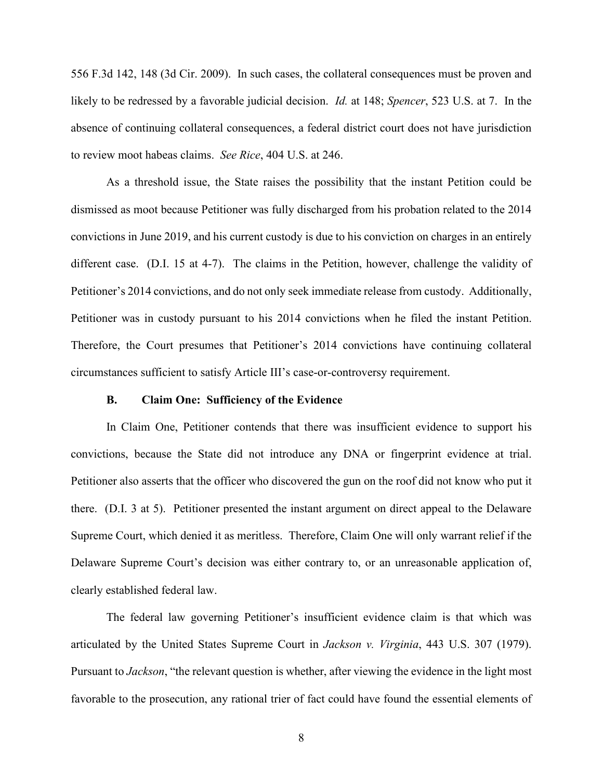556 F.3d 142, 148 (3d Cir. 2009). In such cases, the collateral consequences must be proven and likely to be redressed by a favorable judicial decision. *Id.* at 148; *Spencer*, 523 U.S. at 7. In the absence of continuing collateral consequences, a federal district court does not have jurisdiction to review moot habeas claims. *See Rice*, 404 U.S. at 246.

As a threshold issue, the State raises the possibility that the instant Petition could be dismissed as moot because Petitioner was fully discharged from his probation related to the 2014 convictions in June 2019, and his current custody is due to his conviction on charges in an entirely different case. (D.I. 15 at 4-7). The claims in the Petition, however, challenge the validity of Petitioner's 2014 convictions, and do not only seek immediate release from custody. Additionally, Petitioner was in custody pursuant to his 2014 convictions when he filed the instant Petition. Therefore, the Court presumes that Petitioner's 2014 convictions have continuing collateral circumstances sufficient to satisfy Article III's case-or-controversy requirement.

#### **B. Claim One: Sufficiency of the Evidence**

In Claim One, Petitioner contends that there was insufficient evidence to support his convictions, because the State did not introduce any DNA or fingerprint evidence at trial. Petitioner also asserts that the officer who discovered the gun on the roof did not know who put it there. (D.I. 3 at 5). Petitioner presented the instant argument on direct appeal to the Delaware Supreme Court, which denied it as meritless. Therefore, Claim One will only warrant relief if the Delaware Supreme Court's decision was either contrary to, or an unreasonable application of, clearly established federal law.

The federal law governing Petitioner's insufficient evidence claim is that which was articulated by the United States Supreme Court in *Jackson v. Virginia*, 443 U.S. 307 (1979). Pursuant to *Jackson*, "the relevant question is whether, after viewing the evidence in the light most favorable to the prosecution, any rational trier of fact could have found the essential elements of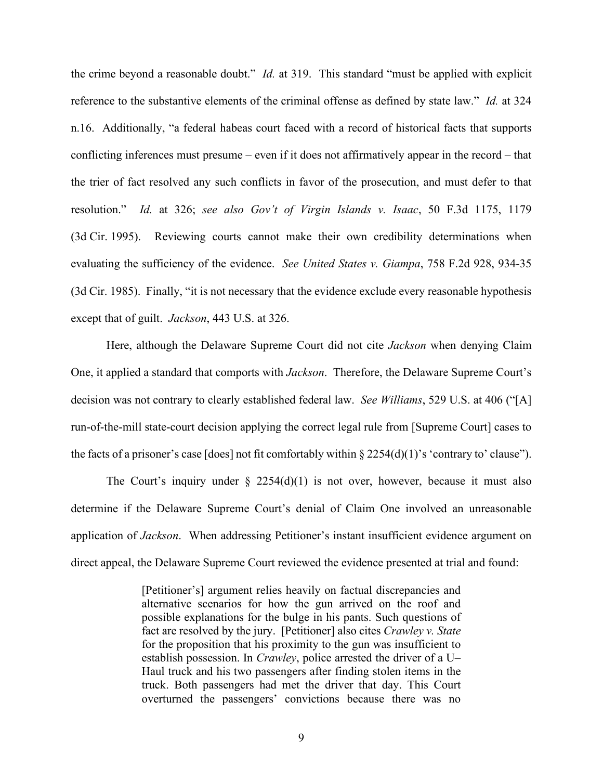the crime beyond a reasonable doubt." *Id.* at 319. This standard "must be applied with explicit reference to the substantive elements of the criminal offense as defined by state law." *Id.* at 324 n.16. Additionally, "a federal habeas court faced with a record of historical facts that supports conflicting inferences must presume – even if it does not affirmatively appear in the record – that the trier of fact resolved any such conflicts in favor of the prosecution, and must defer to that resolution." *Id.* at 326; *see also Gov't of Virgin Islands v. Isaac*, 50 F.3d 1175, 1179 (3d Cir. 1995). Reviewing courts cannot make their own credibility determinations when evaluating the sufficiency of the evidence. *See United States v. Giampa*, 758 F.2d 928, 934-35 (3d Cir. 1985). Finally, "it is not necessary that the evidence exclude every reasonable hypothesis except that of guilt. *Jackson*, 443 U.S. at 326.

Here, although the Delaware Supreme Court did not cite *Jackson* when denying Claim One, it applied a standard that comports with *Jackson*. Therefore, the Delaware Supreme Court's decision was not contrary to clearly established federal law. *See Williams*, 529 U.S. at 406 ("[A] run-of-the-mill state-court decision applying the correct legal rule from [Supreme Court] cases to the facts of a prisoner's case [does] not fit comfortably within  $\S 2254(d)(1)$ 's 'contrary to' clause'').

The Court's inquiry under  $\S$  2254(d)(1) is not over, however, because it must also determine if the Delaware Supreme Court's denial of Claim One involved an unreasonable application of *Jackson*. When addressing Petitioner's instant insufficient evidence argument on direct appeal, the Delaware Supreme Court reviewed the evidence presented at trial and found:

> [Petitioner's] argument relies heavily on factual discrepancies and alternative scenarios for how the gun arrived on the roof and possible explanations for the bulge in his pants. Such questions of fact are resolved by the jury. [Petitioner] also cites *Crawley v. State* for the proposition that his proximity to the gun was insufficient to establish possession. In *Crawley*, police arrested the driver of a U– Haul truck and his two passengers after finding stolen items in the truck. Both passengers had met the driver that day. This Court overturned the passengers' convictions because there was no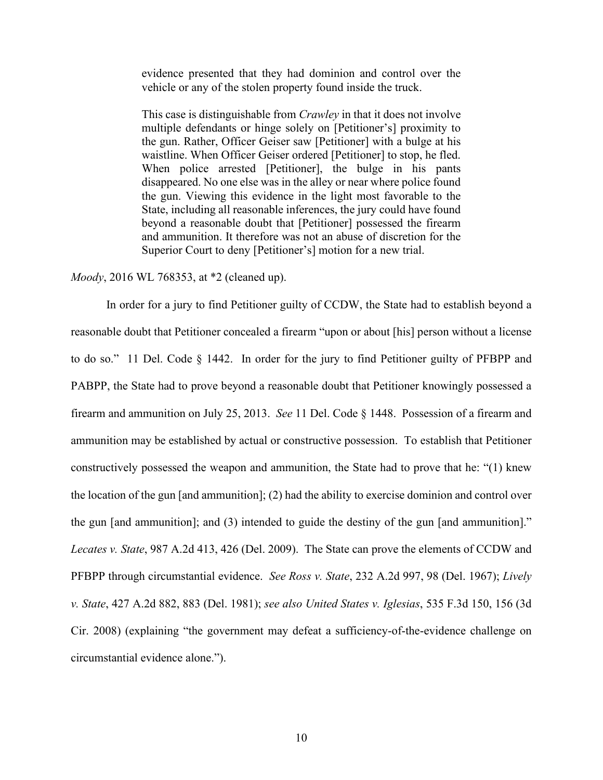evidence presented that they had dominion and control over the vehicle or any of the stolen property found inside the truck.

This case is distinguishable from *Crawley* in that it does not involve multiple defendants or hinge solely on [Petitioner's] proximity to the gun. Rather, Officer Geiser saw [Petitioner] with a bulge at his waistline. When Officer Geiser ordered [Petitioner] to stop, he fled. When police arrested [Petitioner], the bulge in his pants disappeared. No one else was in the alley or near where police found the gun. Viewing this evidence in the light most favorable to the State, including all reasonable inferences, the jury could have found beyond a reasonable doubt that [Petitioner] possessed the firearm and ammunition. It therefore was not an abuse of discretion for the Superior Court to deny [Petitioner's] motion for a new trial.

*Moody*, 2016 WL 768353, at \*2 (cleaned up).

In order for a jury to find Petitioner guilty of CCDW, the State had to establish beyond a reasonable doubt that Petitioner concealed a firearm "upon or about [his] person without a license to do so." 11 Del. Code § 1442. In order for the jury to find Petitioner guilty of PFBPP and PABPP, the State had to prove beyond a reasonable doubt that Petitioner knowingly possessed a firearm and ammunition on July 25, 2013. *See* 11 Del. Code § 1448. Possession of a firearm and ammunition may be established by actual or constructive possession. To establish that Petitioner constructively possessed the weapon and ammunition, the State had to prove that he: "(1) knew the location of the gun [and ammunition]; (2) had the ability to exercise dominion and control over the gun [and ammunition]; and (3) intended to guide the destiny of the gun [and ammunition]." *Lecates v. State*, 987 A.2d 413, 426 (Del. 2009). The State can prove the elements of CCDW and PFBPP through circumstantial evidence. *See Ross v. State*, 232 A.2d 997, 98 (Del. 1967); *Lively v. State*, 427 A.2d 882, 883 (Del. 1981); *see also United States v. Iglesias*, 535 F.3d 150, 156 (3d Cir. 2008) (explaining "the government may defeat a sufficiency-of-the-evidence challenge on circumstantial evidence alone.").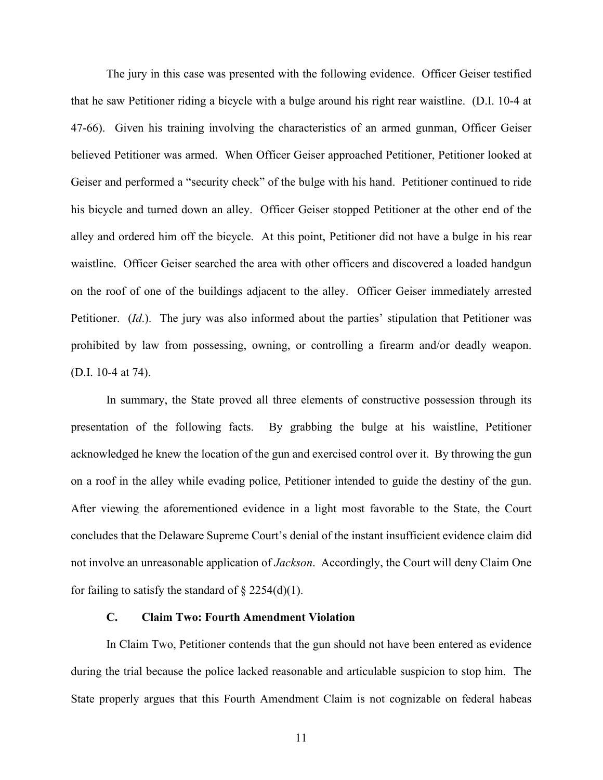The jury in this case was presented with the following evidence. Officer Geiser testified that he saw Petitioner riding a bicycle with a bulge around his right rear waistline. (D.I. 10-4 at 47-66). Given his training involving the characteristics of an armed gunman, Officer Geiser believed Petitioner was armed. When Officer Geiser approached Petitioner, Petitioner looked at Geiser and performed a "security check" of the bulge with his hand. Petitioner continued to ride his bicycle and turned down an alley. Officer Geiser stopped Petitioner at the other end of the alley and ordered him off the bicycle. At this point, Petitioner did not have a bulge in his rear waistline. Officer Geiser searched the area with other officers and discovered a loaded handgun on the roof of one of the buildings adjacent to the alley. Officer Geiser immediately arrested Petitioner. (*Id*.). The jury was also informed about the parties' stipulation that Petitioner was prohibited by law from possessing, owning, or controlling a firearm and/or deadly weapon. (D.I. 10-4 at 74).

In summary, the State proved all three elements of constructive possession through its presentation of the following facts. By grabbing the bulge at his waistline, Petitioner acknowledged he knew the location of the gun and exercised control over it. By throwing the gun on a roof in the alley while evading police, Petitioner intended to guide the destiny of the gun. After viewing the aforementioned evidence in a light most favorable to the State, the Court concludes that the Delaware Supreme Court's denial of the instant insufficient evidence claim did not involve an unreasonable application of *Jackson*. Accordingly, the Court will deny Claim One for failing to satisfy the standard of  $\S 2254(d)(1)$ .

# **C. Claim Two: Fourth Amendment Violation**

In Claim Two, Petitioner contends that the gun should not have been entered as evidence during the trial because the police lacked reasonable and articulable suspicion to stop him. The State properly argues that this Fourth Amendment Claim is not cognizable on federal habeas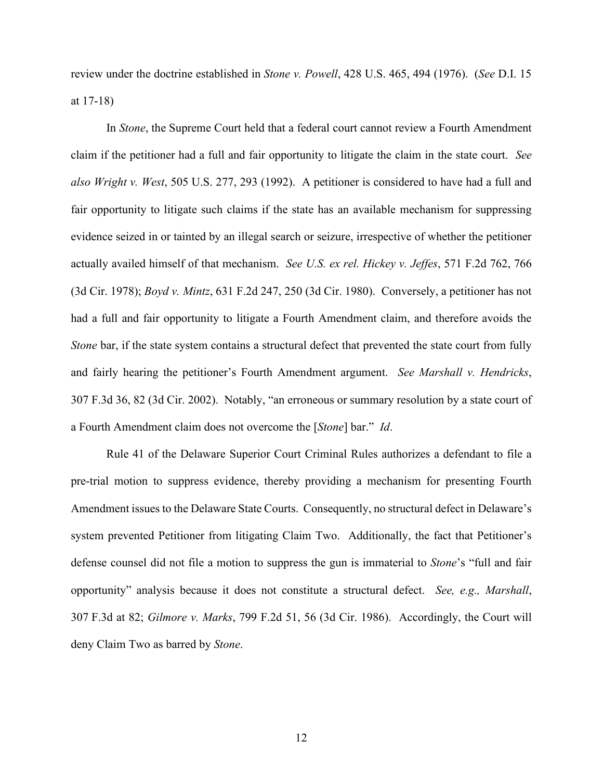review under the doctrine established in *Stone v. Powell*, 428 U.S. 465, 494 (1976). (*See* D.I. 15 at 17-18)

In *Stone*, the Supreme Court held that a federal court cannot review a Fourth Amendment claim if the petitioner had a full and fair opportunity to litigate the claim in the state court. *See also Wright v. West*, 505 U.S. 277, 293 (1992). A petitioner is considered to have had a full and fair opportunity to litigate such claims if the state has an available mechanism for suppressing evidence seized in or tainted by an illegal search or seizure, irrespective of whether the petitioner actually availed himself of that mechanism. *See U.S. ex rel. Hickey v. Jeffes*, 571 F.2d 762, 766 (3d Cir. 1978); *Boyd v. Mintz*, 631 F.2d 247, 250 (3d Cir. 1980). Conversely, a petitioner has not had a full and fair opportunity to litigate a Fourth Amendment claim, and therefore avoids the *Stone* bar, if the state system contains a structural defect that prevented the state court from fully and fairly hearing the petitioner's Fourth Amendment argument. *See Marshall v. Hendricks*, 307 F.3d 36, 82 (3d Cir. 2002). Notably, "an erroneous or summary resolution by a state court of a Fourth Amendment claim does not overcome the [*Stone*] bar." *Id*.

Rule 41 of the Delaware Superior Court Criminal Rules authorizes a defendant to file a pre-trial motion to suppress evidence, thereby providing a mechanism for presenting Fourth Amendment issues to the Delaware State Courts. Consequently, no structural defect in Delaware's system prevented Petitioner from litigating Claim Two. Additionally, the fact that Petitioner's defense counsel did not file a motion to suppress the gun is immaterial to *Stone*'s "full and fair opportunity" analysis because it does not constitute a structural defect. *See, e.g., Marshall*, 307 F.3d at 82; *Gilmore v. Marks*, 799 F.2d 51, 56 (3d Cir. 1986). Accordingly, the Court will deny Claim Two as barred by *Stone*.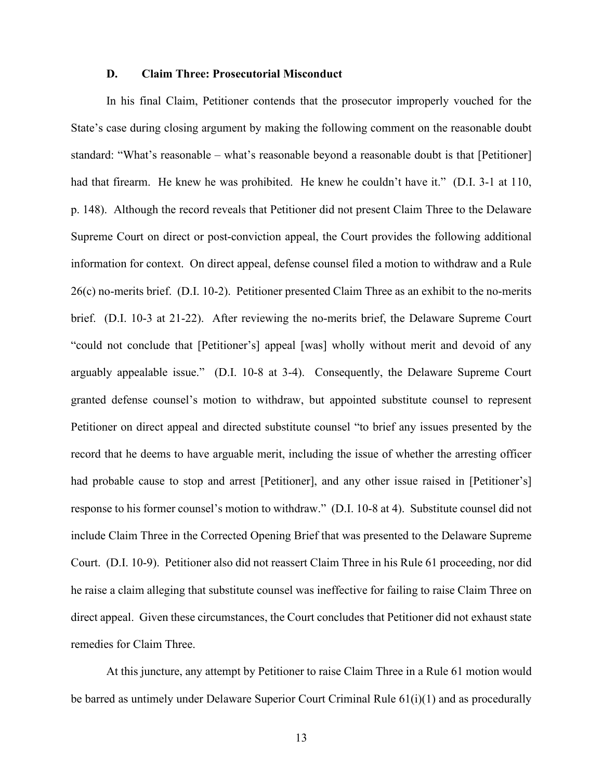#### **D. Claim Three: Prosecutorial Misconduct**

In his final Claim, Petitioner contends that the prosecutor improperly vouched for the State's case during closing argument by making the following comment on the reasonable doubt standard: "What's reasonable – what's reasonable beyond a reasonable doubt is that [Petitioner] had that firearm. He knew he was prohibited. He knew he couldn't have it." (D.I. 3-1 at 110, p. 148). Although the record reveals that Petitioner did not present Claim Three to the Delaware Supreme Court on direct or post-conviction appeal, the Court provides the following additional information for context. On direct appeal, defense counsel filed a motion to withdraw and a Rule 26(c) no-merits brief. (D.I. 10-2). Petitioner presented Claim Three as an exhibit to the no-merits brief. (D.I. 10-3 at 21-22). After reviewing the no-merits brief, the Delaware Supreme Court "could not conclude that [Petitioner's] appeal [was] wholly without merit and devoid of any arguably appealable issue." (D.I. 10-8 at 3-4). Consequently, the Delaware Supreme Court granted defense counsel's motion to withdraw, but appointed substitute counsel to represent Petitioner on direct appeal and directed substitute counsel "to brief any issues presented by the record that he deems to have arguable merit, including the issue of whether the arresting officer had probable cause to stop and arrest [Petitioner], and any other issue raised in [Petitioner's] response to his former counsel's motion to withdraw." (D.I. 10-8 at 4). Substitute counsel did not include Claim Three in the Corrected Opening Brief that was presented to the Delaware Supreme Court. (D.I. 10-9). Petitioner also did not reassert Claim Three in his Rule 61 proceeding, nor did he raise a claim alleging that substitute counsel was ineffective for failing to raise Claim Three on direct appeal. Given these circumstances, the Court concludes that Petitioner did not exhaust state remedies for Claim Three.

At this juncture, any attempt by Petitioner to raise Claim Three in a Rule 61 motion would be barred as untimely under Delaware Superior Court Criminal Rule 61(i)(1) and as procedurally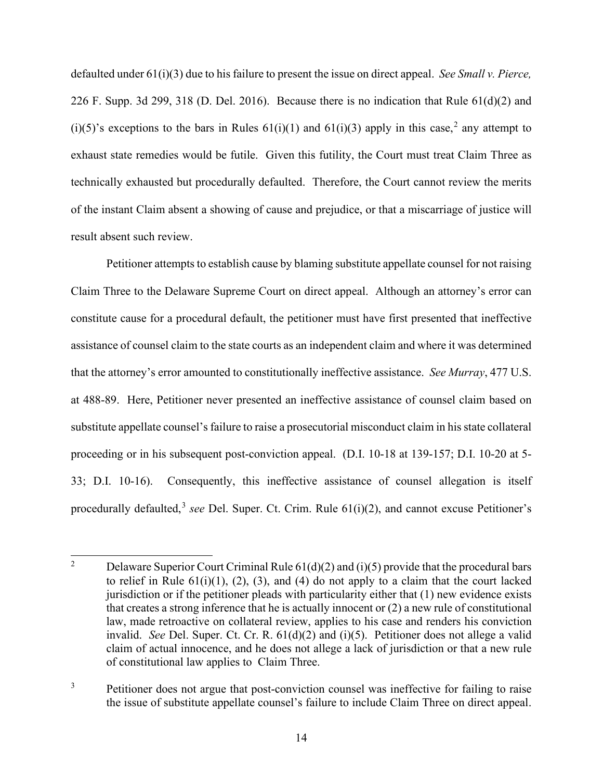defaulted under 61(i)(3) due to his failure to present the issue on direct appeal. *See Small v. Pierce,*  226 F. Supp. 3d 299, 318 (D. Del. 2016). Because there is no indication that Rule 61(d)(2) and (i)(5)'s exceptions to the bars in Rules  $61(i)(1)$  and  $61(i)(3)$  apply in this case,<sup>[2](#page-14-0)</sup> any attempt to exhaust state remedies would be futile. Given this futility, the Court must treat Claim Three as technically exhausted but procedurally defaulted. Therefore, the Court cannot review the merits of the instant Claim absent a showing of cause and prejudice, or that a miscarriage of justice will result absent such review.

Petitioner attempts to establish cause by blaming substitute appellate counsel for not raising Claim Three to the Delaware Supreme Court on direct appeal. Although an attorney's error can constitute cause for a procedural default, the petitioner must have first presented that ineffective assistance of counsel claim to the state courts as an independent claim and where it was determined that the attorney's error amounted to constitutionally ineffective assistance. *See Murray*, 477 U.S. at 488-89. Here, Petitioner never presented an ineffective assistance of counsel claim based on substitute appellate counsel's failure to raise a prosecutorial misconduct claim in his state collateral proceeding or in his subsequent post-conviction appeal. (D.I. 10-18 at 139-157; D.I. 10-20 at 5- 33; D.I. 10-16). Consequently, this ineffective assistance of counsel allegation is itself procedurally defaulted,<sup>[3](#page-14-1)</sup> see Del. Super. Ct. Crim. Rule 61(i)(2), and cannot excuse Petitioner's

<span id="page-14-1"></span><sup>3</sup> Petitioner does not argue that post-conviction counsel was ineffective for failing to raise the issue of substitute appellate counsel's failure to include Claim Three on direct appeal.

<span id="page-14-0"></span><sup>&</sup>lt;sup>2</sup> Delaware Superior Court Criminal Rule  $61(d)(2)$  and (i)(5) provide that the procedural bars to relief in Rule  $61(i)(1)$ ,  $(2)$ ,  $(3)$ , and  $(4)$  do not apply to a claim that the court lacked jurisdiction or if the petitioner pleads with particularity either that (1) new evidence exists that creates a strong inference that he is actually innocent or (2) a new rule of constitutional law, made retroactive on collateral review, applies to his case and renders his conviction invalid. *See* Del. Super. Ct. Cr. R. 61(d)(2) and (i)(5). Petitioner does not allege a valid claim of actual innocence, and he does not allege a lack of jurisdiction or that a new rule of constitutional law applies to Claim Three.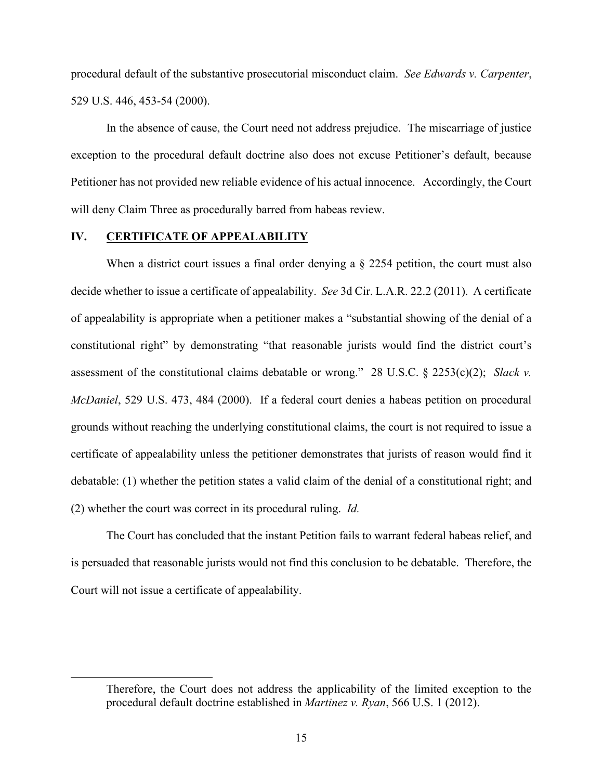procedural default of the substantive prosecutorial misconduct claim. *See Edwards v. Carpenter*, 529 U.S. 446, 453-54 (2000).

In the absence of cause, the Court need not address prejudice. The miscarriage of justice exception to the procedural default doctrine also does not excuse Petitioner's default, because Petitioner has not provided new reliable evidence of his actual innocence. Accordingly, the Court will deny Claim Three as procedurally barred from habeas review.

## **IV. CERTIFICATE OF APPEALABILITY**

When a district court issues a final order denying a  $\S$  2254 petition, the court must also decide whether to issue a certificate of appealability. *See* 3d Cir. L.A.R. 22.2 (2011). A certificate of appealability is appropriate when a petitioner makes a "substantial showing of the denial of a constitutional right" by demonstrating "that reasonable jurists would find the district court's assessment of the constitutional claims debatable or wrong."28 U.S.C. § 2253(c)(2); *Slack v. McDaniel*, 529 U.S. 473, 484 (2000). If a federal court denies a habeas petition on procedural grounds without reaching the underlying constitutional claims, the court is not required to issue a certificate of appealability unless the petitioner demonstrates that jurists of reason would find it debatable: (1) whether the petition states a valid claim of the denial of a constitutional right; and (2) whether the court was correct in its procedural ruling. *Id.* 

The Court has concluded that the instant Petition fails to warrant federal habeas relief, and is persuaded that reasonable jurists would not find this conclusion to be debatable. Therefore, the Court will not issue a certificate of appealability.

Therefore, the Court does not address the applicability of the limited exception to the procedural default doctrine established in *Martinez v. Ryan*, 566 U.S. 1 (2012).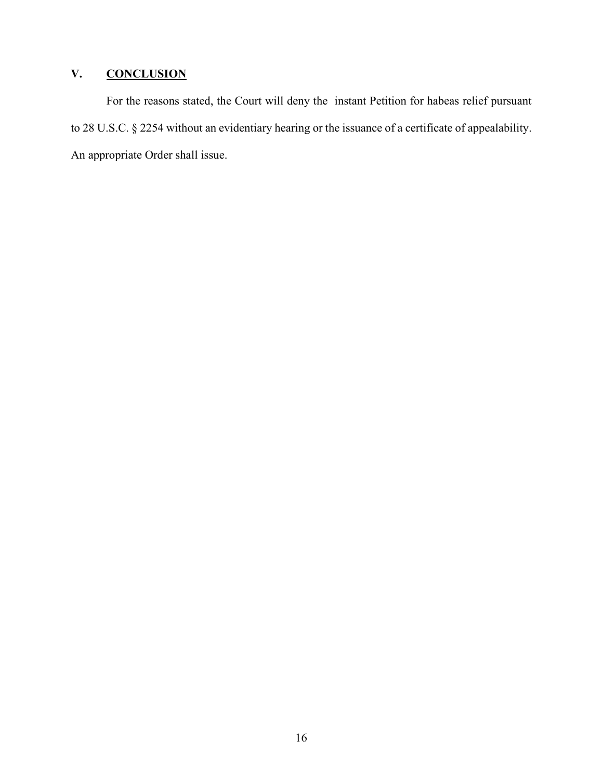# **V. CONCLUSION**

For the reasons stated, the Court will deny the instant Petition for habeas relief pursuant to 28 U.S.C. § 2254 without an evidentiary hearing or the issuance of a certificate of appealability. An appropriate Order shall issue.